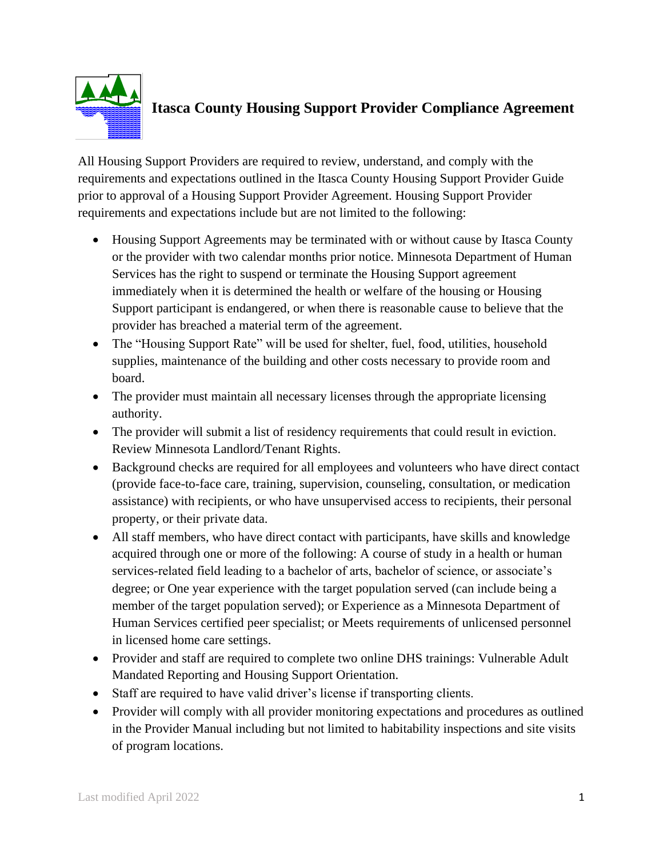

## **Itasca County Housing Support Provider Compliance Agreement**

All Housing Support Providers are required to review, understand, and comply with the requirements and expectations outlined in the Itasca County Housing Support Provider Guide prior to approval of a Housing Support Provider Agreement. Housing Support Provider requirements and expectations include but are not limited to the following:

- Housing Support Agreements may be terminated with or without cause by Itasca County or the provider with two calendar months prior notice. Minnesota Department of Human Services has the right to suspend or terminate the Housing Support agreement immediately when it is determined the health or welfare of the housing or Housing Support participant is endangered, or when there is reasonable cause to believe that the provider has breached a material term of the agreement.
- The "Housing Support Rate" will be used for shelter, fuel, food, utilities, household supplies, maintenance of the building and other costs necessary to provide room and board.
- The provider must maintain all necessary licenses through the appropriate licensing authority.
- The provider will submit a list of residency requirements that could result in eviction. Review Minnesota Landlord/Tenant Rights.
- Background checks are required for all employees and volunteers who have direct contact (provide face-to-face care, training, supervision, counseling, consultation, or medication assistance) with recipients, or who have unsupervised access to recipients, their personal property, or their private data.
- All staff members, who have direct contact with participants, have skills and knowledge acquired through one or more of the following: A course of study in a health or human services-related field leading to a bachelor of arts, bachelor of science, or associate's degree; or One year experience with the target population served (can include being a member of the target population served); or Experience as a Minnesota Department of Human Services certified peer specialist; or Meets requirements of unlicensed personnel in licensed home care settings.
- Provider and staff are required to complete two online DHS trainings: Vulnerable Adult Mandated Reporting and Housing Support Orientation.
- Staff are required to have valid driver's license if transporting clients.
- Provider will comply with all provider monitoring expectations and procedures as outlined in the Provider Manual including but not limited to habitability inspections and site visits of program locations.